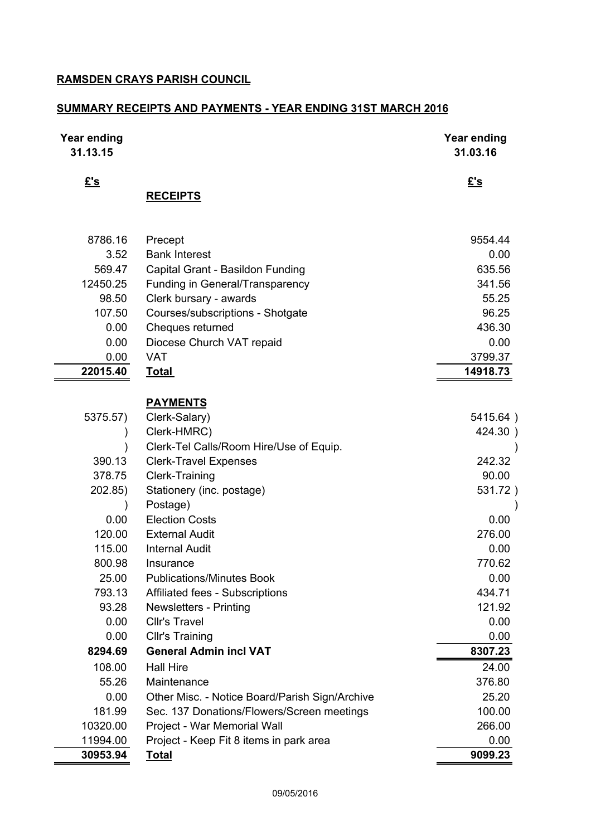### **RAMSDEN CRAYS PARISH COUNCIL**

## **SUMMARY RECEIPTS AND PAYMENTS - YEAR ENDING 31ST MARCH 2016**

| <b>Year ending</b><br>31.13.15 |                                                | <b>Year ending</b><br>31.03.16 |
|--------------------------------|------------------------------------------------|--------------------------------|
| $E$ 's                         | <b>RECEIPTS</b>                                | £'s                            |
|                                |                                                |                                |
| 8786.16                        | Precept                                        | 9554.44                        |
| 3.52                           | <b>Bank Interest</b>                           | 0.00                           |
| 569.47                         | Capital Grant - Basildon Funding               | 635.56                         |
| 12450.25                       | Funding in General/Transparency                | 341.56                         |
| 98.50                          | Clerk bursary - awards                         | 55.25                          |
| 107.50                         | Courses/subscriptions - Shotgate               | 96.25                          |
| 0.00                           | Cheques returned                               | 436.30                         |
| 0.00                           | Diocese Church VAT repaid                      | 0.00                           |
| 0.00                           | <b>VAT</b>                                     | 3799.37                        |
| 22015.40                       | <u>Total</u>                                   | 14918.73                       |
|                                | <b>PAYMENTS</b>                                |                                |
| 5375.57)                       | Clerk-Salary)                                  | 5415.64)                       |
|                                | Clerk-HMRC)                                    | 424.30)                        |
|                                | Clerk-Tel Calls/Room Hire/Use of Equip.        |                                |
| 390.13                         | <b>Clerk-Travel Expenses</b>                   | 242.32                         |
| 378.75                         | <b>Clerk-Training</b>                          | 90.00                          |
| 202.85)                        | Stationery (inc. postage)                      | 531.72)                        |
|                                | Postage)                                       |                                |
| 0.00                           | <b>Election Costs</b>                          | 0.00                           |
| 120.00                         | <b>External Audit</b>                          | 276.00                         |
| 115.00                         | <b>Internal Audit</b>                          | 0.00                           |
| 800.98                         | Insurance                                      | 770.62                         |
| 25.00                          | <b>Publications/Minutes Book</b>               | 0.00                           |
| 793.13                         | <b>Affiliated fees - Subscriptions</b>         | 434.71                         |
| 93.28                          | <b>Newsletters - Printing</b>                  | 121.92                         |
| 0.00                           | <b>Cllr's Travel</b>                           | 0.00                           |
| 0.00                           | <b>Cllr's Training</b>                         | 0.00                           |
| 8294.69                        | <b>General Admin incl VAT</b>                  | 8307.23                        |
| 108.00                         | <b>Hall Hire</b>                               | 24.00                          |
| 55.26                          | Maintenance                                    | 376.80                         |
| 0.00                           | Other Misc. - Notice Board/Parish Sign/Archive | 25.20                          |
| 181.99                         | Sec. 137 Donations/Flowers/Screen meetings     | 100.00                         |
| 10320.00                       | Project - War Memorial Wall                    | 266.00                         |
| 11994.00                       | Project - Keep Fit 8 items in park area        | 0.00                           |
| 30953.94                       | <b>Total</b>                                   | 9099.23                        |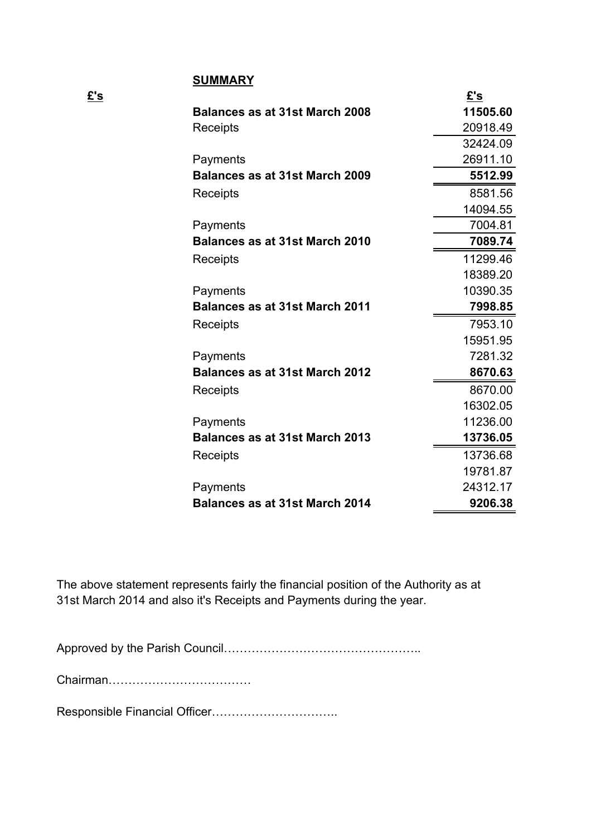#### **SUMMARY**

| <b>Balances as at 31st March 2008</b> | <u>£'s</u> |
|---------------------------------------|------------|
|                                       | 11505.60   |
| Receipts                              | 20918.49   |
|                                       | 32424.09   |
| Payments                              | 26911.10   |
| <b>Balances as at 31st March 2009</b> | 5512.99    |
| Receipts                              | 8581.56    |
|                                       | 14094.55   |
| Payments                              | 7004.81    |
| <b>Balances as at 31st March 2010</b> | 7089.74    |
| Receipts                              | 11299.46   |
|                                       | 18389.20   |
| Payments                              | 10390.35   |
| <b>Balances as at 31st March 2011</b> | 7998.85    |
| Receipts                              | 7953.10    |
|                                       | 15951.95   |
| Payments                              | 7281.32    |
|                                       |            |
| <b>Balances as at 31st March 2012</b> | 8670.63    |
| Receipts                              | 8670.00    |
|                                       | 16302.05   |
| Payments                              | 11236.00   |
| <b>Balances as at 31st March 2013</b> | 13736.05   |
| Receipts                              | 13736.68   |
|                                       | 19781.87   |
| Payments                              | 24312.17   |

The above statement represents fairly the financial position of the Authority as at 31st March 2014 and also it's Receipts and Payments during the year.

Approved by the Parish Council…………………………………………..

Chairman………………………………

Responsible Financial Officer…………………………..